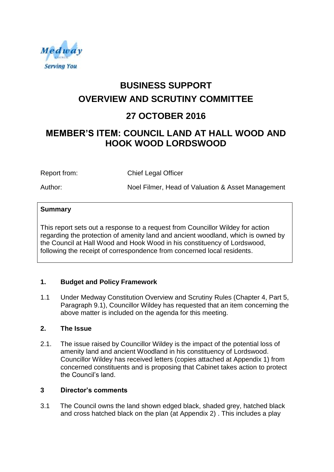

# **BUSINESS SUPPORT OVERVIEW AND SCRUTINY COMMITTEE**

# **27 OCTOBER 2016**

# **MEMBER'S ITEM: COUNCIL LAND AT HALL WOOD AND HOOK WOOD LORDSWOOD**

Report from: Chief Legal Officer

Author: Noel Filmer, Head of Valuation & Asset Management

# **Summary**

This report sets out a response to a request from Councillor Wildey for action regarding the protection of amenity land and ancient woodland, which is owned by the Council at Hall Wood and Hook Wood in his constituency of Lordswood, following the receipt of correspondence from concerned local residents.

# **1. Budget and Policy Framework**

1.1 Under Medway Constitution Overview and Scrutiny Rules (Chapter 4, Part 5, Paragraph 9.1), Councillor Wildey has requested that an item concerning the above matter is included on the agenda for this meeting.

# **2. The Issue**

2.1. The issue raised by Councillor Wildey is the impact of the potential loss of amenity land and ancient Woodland in his constituency of Lordswood. Councillor Wildey has received letters (copies attached at Appendix 1) from concerned constituents and is proposing that Cabinet takes action to protect the Council's land.

# **3 Director's comments**

3.1 The Council owns the land shown edged black, shaded grey, hatched black and cross hatched black on the plan (at Appendix 2) . This includes a play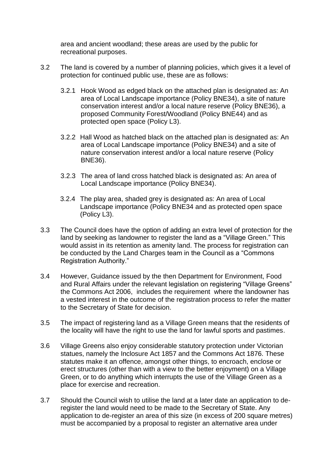area and ancient woodland; these areas are used by the public for recreational purposes.

- 3.2 The land is covered by a number of planning policies, which gives it a level of protection for continued public use, these are as follows:
	- 3.2.1 Hook Wood as edged black on the attached plan is designated as: An area of Local Landscape importance (Policy BNE34), a site of nature conservation interest and/or a local nature reserve (Policy BNE36), a proposed Community Forest/Woodland (Policy BNE44) and as protected open space (Policy L3).
	- 3.2.2 Hall Wood as hatched black on the attached plan is designated as: An area of Local Landscape importance (Policy BNE34) and a site of nature conservation interest and/or a local nature reserve (Policy BNE36).
	- 3.2.3 The area of land cross hatched black is designated as: An area of Local Landscape importance (Policy BNE34).
	- 3.2.4 The play area, shaded grey is designated as: An area of Local Landscape importance (Policy BNE34 and as protected open space (Policy L3).
- 3.3 The Council does have the option of adding an extra level of protection for the land by seeking as landowner to register the land as a "Village Green." This would assist in its retention as amenity land. The process for registration can be conducted by the Land Charges team in the Council as a "Commons Registration Authority."
- 3.4 However, Guidance issued by the then Department for Environment, Food and Rural Affairs under the relevant legislation on registering "Village Greens" the Commons Act 2006, includes the requirement where the landowner has a vested interest in the outcome of the registration process to refer the matter to the Secretary of State for decision.
- 3.5 The impact of registering land as a Village Green means that the residents of the locality will have the right to use the land for lawful sports and pastimes.
- 3.6 Village Greens also enjoy considerable statutory protection under Victorian statues, namely the Inclosure Act 1857 and the Commons Act 1876. These statutes make it an offence, amongst other things, to encroach, enclose or erect structures (other than with a view to the better enjoyment) on a Village Green, or to do anything which interrupts the use of the Village Green as a place for exercise and recreation.
- 3.7 Should the Council wish to utilise the land at a later date an application to deregister the land would need to be made to the Secretary of State. Any application to de-register an area of this size (in excess of 200 square metres) must be accompanied by a proposal to register an alternative area under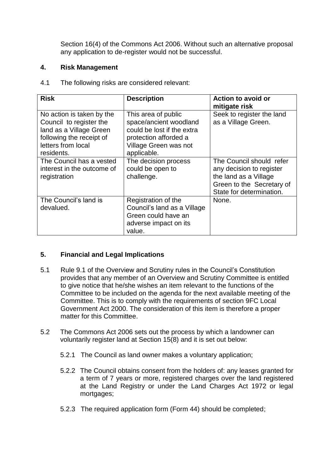Section 16(4) of the Commons Act 2006. Without such an alternative proposal any application to de-register would not be successful.

#### **4. Risk Management**

4.1 The following risks are considered relevant:

| <b>Risk</b>                                                                                                                                     | <b>Description</b>                                                                                                                           | <b>Action to avoid or</b><br>mitigate risk                                                                                             |
|-------------------------------------------------------------------------------------------------------------------------------------------------|----------------------------------------------------------------------------------------------------------------------------------------------|----------------------------------------------------------------------------------------------------------------------------------------|
| No action is taken by the<br>Council to register the<br>land as a Village Green<br>following the receipt of<br>letters from local<br>residents. | This area of public<br>space/ancient woodland<br>could be lost if the extra<br>protection afforded a<br>Village Green was not<br>applicable. | Seek to register the land<br>as a Village Green.                                                                                       |
| The Council has a vested<br>interest in the outcome of<br>registration                                                                          | The decision process<br>could be open to<br>challenge.                                                                                       | The Council should refer<br>any decision to register<br>the land as a Village<br>Green to the Secretary of<br>State for determination. |
| The Council's land is<br>devalued.                                                                                                              | Registration of the<br>Council's land as a Village<br>Green could have an<br>adverse impact on its<br>value.                                 | None.                                                                                                                                  |

# **5. Financial and Legal Implications**

- 5.1 Rule 9.1 of the Overview and Scrutiny rules in the Council's Constitution provides that any member of an Overview and Scrutiny Committee is entitled to give notice that he/she wishes an item relevant to the functions of the Committee to be included on the agenda for the next available meeting of the Committee. This is to comply with the requirements of section 9FC Local Government Act 2000. The consideration of this item is therefore a proper matter for this Committee.
- 5.2 The Commons Act 2006 sets out the process by which a landowner can voluntarily register land at Section 15(8) and it is set out below:
	- 5.2.1 The Council as land owner makes a voluntary application;
	- 5.2.2 The Council obtains consent from the holders of: any leases granted for a term of 7 years or more, registered charges over the land registered at the Land Registry or under the Land Charges Act 1972 or legal mortgages;
	- 5.2.3 The required application form (Form 44) should be completed;